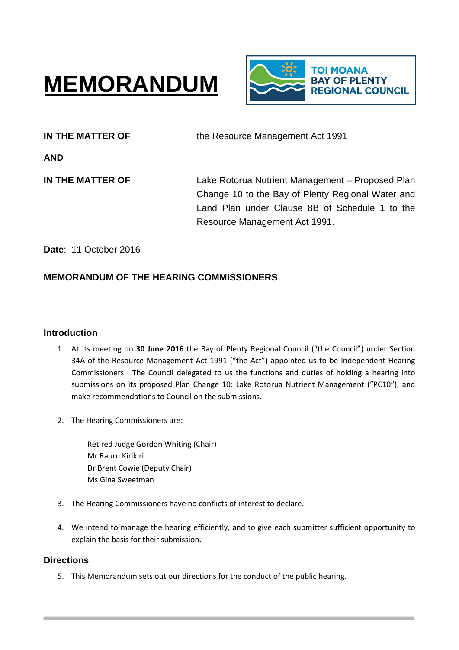# **MEMORANDUM**



**IN THE MATTER OF THE MATTER OF** the Resource Management Act 1991

**AND**

**IN THE MATTER OF Lake Rotorua Nutrient Management – Proposed Plan** Change 10 to the Bay of Plenty Regional Water and Land Plan under Clause 8B of Schedule 1 to the Resource Management Act 1991.

**Date**: 11 October 2016

# **MEMORANDUM OF THE HEARING COMMISSIONERS**

# **Introduction**

- 1. At its meeting on **30 June 2016** the Bay of Plenty Regional Council ("the Council") under Section 34A of the Resource Management Act 1991 ("the Act") appointed us to be Independent Hearing Commissioners. The Council delegated to us the functions and duties of holding a hearing into submissions on its proposed Plan Change 10: Lake Rotorua Nutrient Management ("PC10"), and make recommendations to Council on the submissions.
- 2. The Hearing Commissioners are:

Retired Judge Gordon Whiting (Chair) Mr Rauru Kirikiri Dr Brent Cowie (Deputy Chair) Ms Gina Sweetman

- 3. The Hearing Commissioners have no conflicts of interest to declare.
- 4. We intend to manage the hearing efficiently, and to give each submitter sufficient opportunity to explain the basis for their submission.

# **Directions**

5. This Memorandum sets out our directions for the conduct of the public hearing.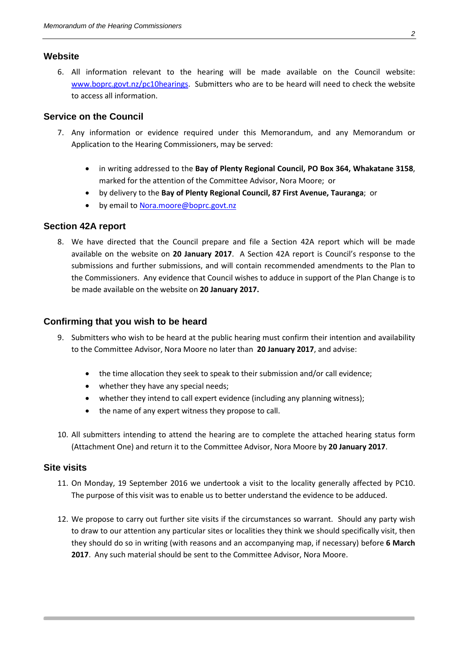## **Website**

6. All information relevant to the hearing will be made available on the Council website: [www.boprc.govt.nz/pc10hearings.](http://www.boprc.govt.nz/pc10hearings) Submitters who are to be heard will need to check the website to access all information.

## **Service on the Council**

- 7. Any information or evidence required under this Memorandum, and any Memorandum or Application to the Hearing Commissioners, may be served:
	- in writing addressed to the **Bay of Plenty Regional Council, PO Box 364, Whakatane 3158**, marked for the attention of the Committee Advisor, Nora Moore; or
	- by delivery to the **Bay of Plenty Regional Council, 87 First Avenue, Tauranga**; or
	- by email to [Nora.moore@boprc.govt.nz](mailto:Nora.moore@boprc.govt.nz)

#### **Section 42A report**

8. We have directed that the Council prepare and file a Section 42A report which will be made available on the website on **20 January 2017**. A Section 42A report is Council's response to the submissions and further submissions, and will contain recommended amendments to the Plan to the Commissioners. Any evidence that Council wishes to adduce in support of the Plan Change is to be made available on the website on **20 January 2017.**

## **Confirming that you wish to be heard**

- 9. Submitters who wish to be heard at the public hearing must confirm their intention and availability to the Committee Advisor, Nora Moore no later than **20 January 2017**, and advise:
	- the time allocation they seek to speak to their submission and/or call evidence;
	- whether they have any special needs;
	- whether they intend to call expert evidence (including any planning witness);
	- the name of any expert witness they propose to call.
- 10. All submitters intending to attend the hearing are to complete the attached hearing status form (Attachment One) and return it to the Committee Advisor, Nora Moore by **20 January 2017**.

#### **Site visits**

- 11. On Monday, 19 September 2016 we undertook a visit to the locality generally affected by PC10. The purpose of this visit was to enable us to better understand the evidence to be adduced.
- 12. We propose to carry out further site visits if the circumstances so warrant. Should any party wish to draw to our attention any particular sites or localities they think we should specifically visit, then they should do so in writing (with reasons and an accompanying map, if necessary) before **6 March 2017**. Any such material should be sent to the Committee Advisor, Nora Moore.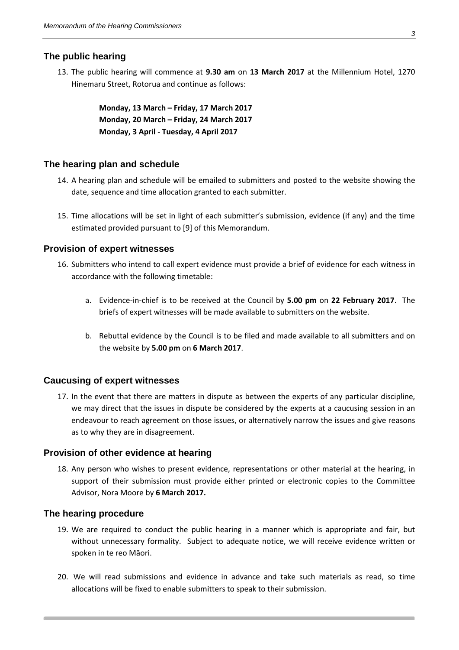#### **The public hearing**

13. The public hearing will commence at **9.30 am** on **13 March 2017** at the Millennium Hotel, 1270 Hinemaru Street, Rotorua and continue as follows:

> **Monday, 13 March – Friday, 17 March 2017 Monday, 20 March – Friday, 24 March 2017 Monday, 3 April - Tuesday, 4 April 2017**

#### **The hearing plan and schedule**

- 14. A hearing plan and schedule will be emailed to submitters and posted to the website showing the date, sequence and time allocation granted to each submitter.
- 15. Time allocations will be set in light of each submitter's submission, evidence (if any) and the time estimated provided pursuant to [9] of this Memorandum.

#### **Provision of expert witnesses**

- 16. Submitters who intend to call expert evidence must provide a brief of evidence for each witness in accordance with the following timetable:
	- a. Evidence-in-chief is to be received at the Council by **5.00 pm** on **22 February 2017**. The briefs of expert witnesses will be made available to submitters on the website.
	- b. Rebuttal evidence by the Council is to be filed and made available to all submitters and on the website by **5.00 pm** on **6 March 2017**.

#### **Caucusing of expert witnesses**

17. In the event that there are matters in dispute as between the experts of any particular discipline, we may direct that the issues in dispute be considered by the experts at a caucusing session in an endeavour to reach agreement on those issues, or alternatively narrow the issues and give reasons as to why they are in disagreement.

#### **Provision of other evidence at hearing**

18. Any person who wishes to present evidence, representations or other material at the hearing, in support of their submission must provide either printed or electronic copies to the Committee Advisor, Nora Moore by **6 March 2017.**

#### **The hearing procedure**

- 19. We are required to conduct the public hearing in a manner which is appropriate and fair, but without unnecessary formality. Subject to adequate notice, we will receive evidence written or spoken in te reo Māori.
- 20. We will read submissions and evidence in advance and take such materials as read, so time allocations will be fixed to enable submitters to speak to their submission.